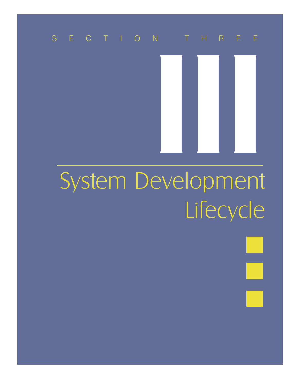## SECTION THREE

# III System Development Lifecycle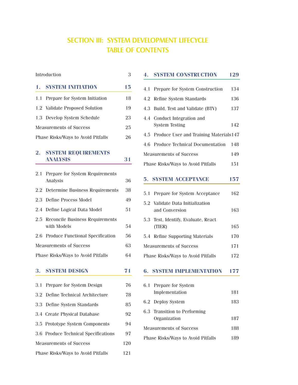## SECTION III: SYSTEM DEVELOPMENT LIFECYCLE TABLE OF CONTENTS

| Introduction                             |                                                       |    |
|------------------------------------------|-------------------------------------------------------|----|
| 1.                                       | <b>SYSTEM INITIATION</b>                              | 15 |
| 1.1                                      | Prepare for System Initiation                         | 18 |
|                                          | 1.2 Validate Proposed Solution                        | 19 |
|                                          | 1.3 Develop System Schedule                           | 23 |
|                                          | <b>Measurements of Success</b>                        | 25 |
| Phase Risks/Ways to Avoid Pitfalls       |                                                       |    |
| $\overline{\mathbf{2}}$ .                | <b>SYSTEM REQUIREMENTS</b><br><b>ANALYSIS</b>         | 31 |
| 2.1                                      | Prepare for System Requirements                       |    |
|                                          | Analysis                                              | 36 |
| $2.2\phantom{0}$                         | Determine Business Requirements                       | 38 |
| 2.3                                      | <b>Define Process Model</b>                           | 49 |
| 2.4                                      | Define Logical Data Model                             | 51 |
| $2.5^{\circ}$                            | <b>Reconcile Business Requirements</b><br>with Models | 54 |
| $2.6\,$                                  | Produce Functional Specification                      | 56 |
| <b>Measurements of Success</b>           |                                                       |    |
| 64<br>Phase Risks/Ways to Avoid Pitfalls |                                                       |    |
| 3.                                       | <b>SYSTEM DESIGN</b>                                  | 71 |
| 3.1                                      | Prepare for System Design                             | 76 |
| 3.2                                      | Define Technical Architecture                         | 78 |
| 3.3                                      | Define System Standards                               | 85 |

| 3.4 Create Physical Database         | 92 |
|--------------------------------------|----|
| 3.5 Prototype System Components      | 94 |
| 3.6 Produce Technical Specifications | 97 |

Measurements of Success 120 Phase Risks/Ways to Avoid Pitfalls 121

## **5. SYSTEM ACCEPTANCE 157** 6.1 Prepare for System Phase Risks/Ways to Avoid Pitfalls 189

|                                    | 5. SYSTEMI AUGHE KWON               | 157 |
|------------------------------------|-------------------------------------|-----|
|                                    | 5.1 Prepare for System Acceptance   | 162 |
|                                    |                                     |     |
|                                    | 5.2 Validate Data Initialization    |     |
|                                    | and Conversion                      | 163 |
|                                    | 5.3 Test, Identify, Evaluate, React |     |
|                                    | (TIER)                              | 165 |
|                                    | 5.4 Refine Supporting Materials     | 170 |
| <b>Measurements of Success</b>     |                                     | 171 |
| Phase Risks/Ways to Avoid Pitfalls |                                     | 172 |
|                                    | <b>6. SYSTEM IMPLEMENTATION</b>     | 177 |
|                                    |                                     |     |
|                                    | 6.1 Prepare for System              |     |
|                                    | Implementation                      | 181 |
|                                    | 6.2 Deploy System                   | 183 |
|                                    | 6.3 Transition to Performing        |     |
|                                    | Organization                        | 187 |
| <b>Measurements of Success</b>     | 188                                 |     |

**4. SYSTEM CONSTRUCTION 129**

4.1 Prepare for System Construction 134 4.2 Refine System Standards 136 4.3 Build, Test and Validate (BTV) 137

System Testing 142

4.5 Produce User and Training Materials147 4.6 Produce Technical Documentation 148 Measurements of Success 149

Phase Risks/Ways to Avoid Pitfalls 151

4.4 Conduct Integration and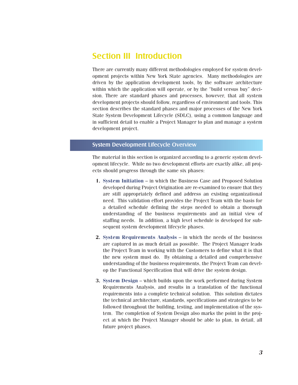### Section III Introduction

There are currently many different methodologies employed for system development projects within New York State agencies. Many methodologies are driven by the application development tools, by the software architecture within which the application will operate, or by the "build versus buy" decision. There are standard phases and processes, however, that all system development projects should follow, regardless of environment and tools. This section describes the standard phases and major processes of the New York State System Development Lifecycle (SDLC), using a common language and in sufficient detail to enable a Project Manager to plan and manage a system development project.

#### System Development Lifecycle Overview

The material in this section is organized according to a generic system development lifecycle. While no two development efforts are exactly alike, all projects should progress through the same six phases:

- **1. System Initiation** in which the Business Case and Proposed Solution developed during Project Origination are re-examined to ensure that they are still appropriately defined and address an existing organizational need. This validation effort provides the Project Team with the basis for a detailed schedule defining the steps needed to obtain a thorough understanding of the business requirements and an initial view of staffing needs. In addition, a high level schedule is developed for subsequent system development lifecycle phases.
- **2. System Requirements Analysis** in which the needs of the business are captured in as much detail as possible. The Project Manager leads the Project Team in working with the Customers to define what it is that the new system must do. By obtaining a detailed and comprehensive understanding of the business requirements, the Project Team can develop the Functional Specification that will drive the system design.
- **3. System Design** which builds upon the work performed during System Requirements Analysis, and results in a translation of the functional requirements into a complete technical solution. This solution dictates the technical architecture, standards, specifications and strategies to be followed throughout the building, testing, and implementation of the system. The completion of System Design also marks the point in the project at which the Project Manager should be able to plan, in detail, all future project phases.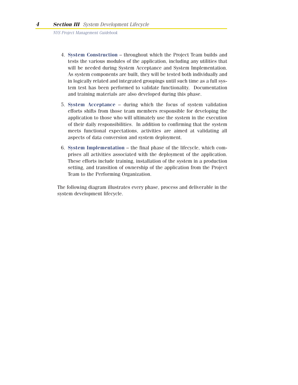- 4. **System Construction** throughout which the Project Team builds and tests the various modules of the application, including any utilities that will be needed during System Acceptance and System Implementation. As system components are built, they will be tested both individually and in logically related and integrated groupings until such time as a full system test has been performed to validate functionality. Documentation and training materials are also developed during this phase.
- 5. **System Acceptance** during which the focus of system validation efforts shifts from those team members responsible for developing the application to those who will ultimately use the system in the execution of their daily responsibilities. In addition to confirming that the system meets functional expectations, activities are aimed at validating all aspects of data conversion and system deployment.
- 6. **System Implementation** the final phase of the lifecycle, which comprises all activities associated with the deployment of the application. These efforts include training, installation of the system in a production setting, and transition of ownership of the application from the Project Team to the Performing Organization.

The following diagram illustrates every phase, process and deliverable in the system development lifecycle.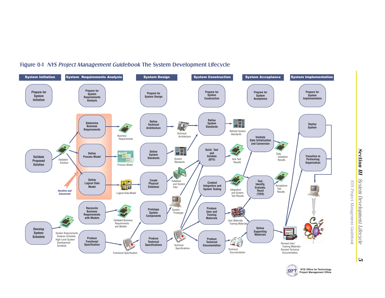

#### Figure 0-1 NYS Project Management Guidebook The System Development Lifecycle



OF<sup>-</sup>

*5*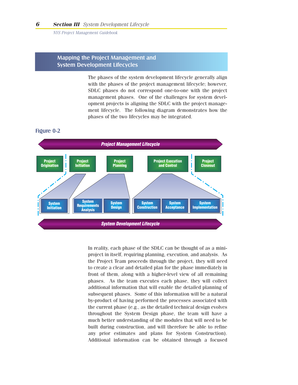#### Mapping the Project Management and System Development Lifecycles

The phases of the system development lifecycle generally align with the phases of the project management lifecycle; however, SDLC phases do not correspond one-to-one with the project management phases. One of the challenges for system development projects is aligning the SDLC with the project management lifecycle. The following diagram demonstrates how the phases of the two lifecycles may be integrated.

#### Figure 0-2



In reality, each phase of the SDLC can be thought of as a miniproject in itself, requiring planning, execution, and analysis. As the Project Team proceeds through the project, they will need to create a clear and detailed plan for the phase immediately in front of them, along with a higher-level view of all remaining phases. As the team executes each phase, they will collect additional information that will enable the detailed planning of subsequent phases. Some of this information will be a natural by-product of having performed the processes associated with the current phase (e.g., as the detailed technical design evolves throughout the System Design phase, the team will have a much better understanding of the modules that will need to be built during construction, and will therefore be able to refine any prior estimates and plans for System Construction). Additional information can be obtained through a focused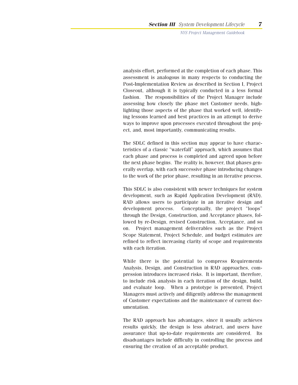analysis effort, performed at the completion of each phase. This assessment is analogous in many respects to conducting the Post-Implementation Review as described in Section I, Project Closeout, although it is typically conducted in a less formal fashion. The responsibilities of the Project Manager include assessing how closely the phase met Customer needs, highlighting those aspects of the phase that worked well, identifying lessons learned and best practices in an attempt to derive ways to improve upon processes executed throughout the project, and, most importantly, communicating results.

The SDLC defined in this section may appear to have characteristics of a classic "waterfall" approach, which assumes that each phase and process is completed and agreed upon before the next phase begins. The reality is, however, that phases generally overlap, with each successive phase introducing changes to the work of the prior phase, resulting in an iterative process.

This SDLC is also consistent with newer techniques for system development, such as Rapid Application Development (RAD). RAD allows users to participate in an iterative design and development process. Conceptually, the project "loops" through the Design, Construction, and Acceptance phases, followed by re-Design, revised Construction, Acceptance, and so on. Project management deliverables such as the Project Scope Statement, Project Schedule, and budget estimates are refined to reflect increasing clarity of scope and requirements with each iteration.

While there is the potential to compress Requirements Analysis, Design, and Construction in RAD approaches, compression introduces increased risks. It is important, therefore, to include risk analysis in each iteration of the design, build, and evaluate loop. When a prototype is presented, Project Managers must actively and diligently address the management of Customer expectations and the maintenance of current documentation.

The RAD approach has advantages, since it usually achieves results quickly, the design is less abstract, and users have assurance that up-to-date requirements are considered. Its disadvantages include difficulty in controlling the process and ensuring the creation of an acceptable product.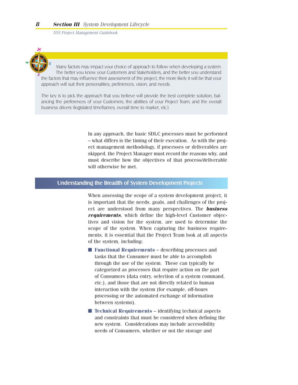

Many factors may impact your choice of approach to follow when developing a system. The better you know your Customers and Stakeholders, and the better you understand the factors that may influence their assessment of the project, the more likely it will be that your approach will suit their personalities, preferences, vision, and needs.

The key is to pick the approach that you believe will provide the best complete solution, balancing the preferences of your Customers, the abilities of your Project Team, and the overall business drivers (legislated timeframes, overall time to market, etc.).

> In any approach, the basic SDLC processes must be performed – what differs is the timing of their execution. As with the project management methodology, if processes or deliverables are skipped, the Project Manager must record the reasons why, and must describe how the objectives of that process/deliverable will otherwise be met.

#### Understanding the Breadth of System Development Projects

When assessing the scope of a system development project, it is important that the needs, goals, and challenges of the project are understood from many perspectives. The *business requirements*, which define the high-level Customer objectives and vision for the system, are used to determine the scope of the system. When capturing the business requirements, it is essential that the Project Team look at all aspects of the system, including:

- **Functional Requirements** describing processes and tasks that the Consumer must be able to accomplish through the use of the system. These can typically be categorized as processes that require action on the part of Consumers (data entry, selection of a system command, etc.), and those that are not directly related to human interaction with the system (for example, off-hours processing or the automated exchange of information between systems).
- **Technical Requirements** identifying technical aspects and constraints that must be considered when defining the new system. Considerations may include accessibility needs of Consumers, whether or not the storage and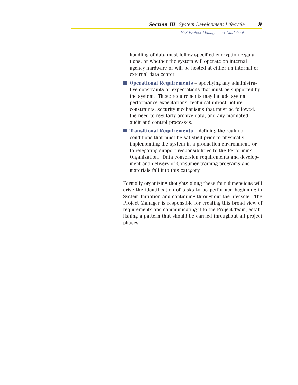handling of data must follow specified encryption regulations, or whether the system will operate on internal agency hardware or will be hosted at either an internal or external data center.

- **Operational Requirements** specifying any administrative constraints or expectations that must be supported by the system. These requirements may include system performance expectations, technical infrastructure constraints, security mechanisms that must be followed, the need to regularly archive data, and any mandated audit and control processes.
- **Transitional Requirements** defining the realm of conditions that must be satisfied prior to physically implementing the system in a production environment, or to relegating support responsibilities to the Performing Organization. Data conversion requirements and development and delivery of Consumer training programs and materials fall into this category.

Formally organizing thoughts along these four dimensions will drive the identification of tasks to be performed beginning in System Initiation and continuing throughout the lifecycle. The Project Manager is responsible for creating this broad view of requirements and communicating it to the Project Team, establishing a pattern that should be carried throughout all project phases.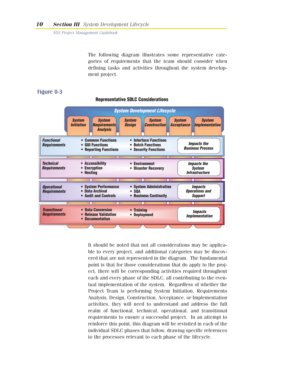The following diagram illustrates some representative categories of requirements that the team should consider when defining tasks and activities throughout the system development project.

#### Figure 0-3



#### **Representative SDLC Considerations**

It should be noted that not all considerations may be applicable to every project, and additional categories may be discovered that are not represented in the diagram. The fundamental point is that for those considerations that do apply to the project, there will be corresponding activities required throughout each and every phase of the SDLC, all contributing to the eventual implementation of the system. Regardless of whether the Project Team is performing System Initiation, Requirements Analysis, Design, Construction, Acceptance, or Implementation activities, they will need to understand and address the full realm of functional, technical, operational, and transitional requirements to ensure a successful project. In an attempt to reinforce this point, this diagram will be revisited in each of the individual SDLC phases that follow, drawing specific references to the processes relevant to each phase of the lifecycle.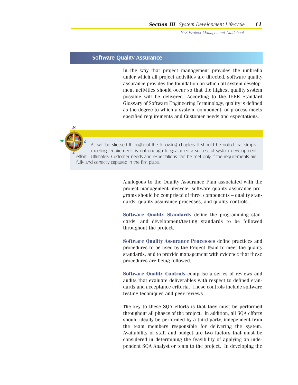#### Software Quality Assurance

In the way that project management provides the umbrella under which all project activities are directed, software quality assurance provides the foundation on which all system development activities should occur so that the highest quality system possible will be delivered. According to the IEEE Standard Glossary of Software Engineering Terminology, quality is defined as the degree to which a system, component, or process meets specified requirements and Customer needs and expectations.



As will be stressed throughout the following chapters, it should be noted that simply meeting requirements is not enough to guarantee a successful system development effort. Ultimately, Customer needs and expectations can be met only if the requirements are fully and correctly captured in the first place.

> Analogous to the Quality Assurance Plan associated with the project management lifecycle, software quality assurance programs should be comprised of three components – quality standards, quality assurance processes, and quality controls.

> **Software Quality Standards** define the programming standards, and development/testing standards to be followed throughout the project.

> **Software Quality Assurance Processes** define practices and procedures to be used by the Project Team to meet the quality standards, and to provide management with evidence that these procedures are being followed.

> **Software Quality Controls** comprise a series of reviews and audits that evaluate deliverables with respect to defined standards and acceptance criteria. These controls include software testing techniques and peer reviews.

> The key to these SQA efforts is that they must be performed throughout all phases of the project. In addition, all SQA efforts should ideally be performed by a third party, independent from the team members responsible for delivering the system. Availability of staff and budget are two factors that must be considered in determining the feasibility of applying an independent SQA Analyst or team to the project. In developing the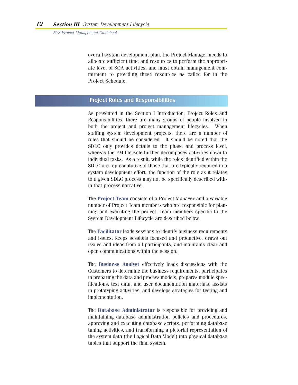overall system development plan, the Project Manager needs to allocate sufficient time and resources to perform the appropriate level of SQA activities, and must obtain management commitment to providing these resources as called for in the Project Schedule.

#### Project Roles and Responsibilities

As presented in the Section I Introduction, Project Roles and Responsibilities, there are many groups of people involved in both the project and project management lifecycles. When staffing system development projects, there are a number of roles that should be considered. It should be noted that the SDLC only provides details to the phase and process level, whereas the PM lifecycle further decomposes activities down to individual tasks. As a result, while the roles identified within the SDLC are representative of those that are typically required in a system development effort, the function of the role as it relates to a given SDLC process may not be specifically described within that process narrative.

The **Project Team** consists of a Project Manager and a variable number of Project Team members who are responsible for planning and executing the project. Team members specific to the System Development Lifecycle are described below.

The **Facilitator** leads sessions to identify business requirements and issues, keeps sessions focused and productive, draws out issues and ideas from all participants, and maintains clear and open communications within the session.

The **Business Analyst** effectively leads discussions with the Customers to determine the business requirements, participates in preparing the data and process models, prepares module specifications, test data, and user documentation materials, assists in prototyping activities, and develops strategies for testing and implementation.

The **Database Administrator** is responsible for providing and maintaining database administration policies and procedures, approving and executing database scripts, performing database tuning activities, and transforming a pictorial representation of the system data (the Logical Data Model) into physical database tables that support the final system.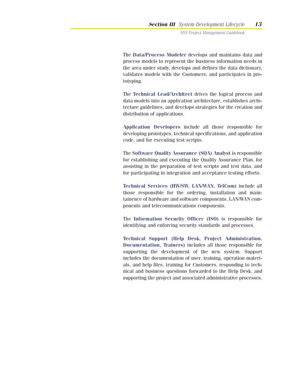The **Data/Process Modeler** develops and maintains data and process models to represent the business information needs in the area under study, develops and defines the data dictionary, validates models with the Customers, and participates in prototyping.

The **Technical Lead/Architect** drives the logical process and data models into an application architecture, establishes architecture guidelines, and develops strategies for the creation and distribution of applications.

**Application Developers** include all those responsible for developing prototypes, technical specifications, and application code, and for executing test scripts.

The **Software Quality Assurance (SQA) Analyst** is responsible for establishing and executing the Quality Assurance Plan, for assisting in the preparation of test scripts and test data, and for participating in integration and acceptance testing efforts.

**Technical Services (HW/SW, LAN/WAN, TelCom)** include all those responsible for the ordering, installation and maintainence of hardware and software components, LAN/WAN components and telecommunications components.

The **Information Security Officer (ISO)** is responsible for identifying and enforcing security standards and processes.

**Technical Support (Help Desk, Project Administration, Documentation, Trainers)** includes all those responsible for supporting the development of the new system. Support includes the documentation of user, training, operation materials, and help files, training for Customers, responding to technical and business questions forwarded to the Help Desk, and supporting the project and associated administrative processes.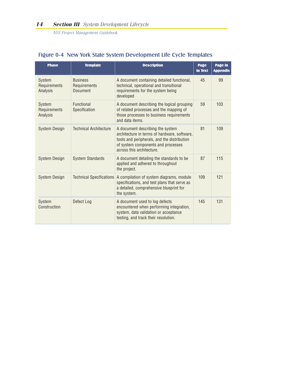| <b>Phase</b>                       | <b>Template</b>                                                                                                                                                                            | <b>Description</b>                                                                                                                                                                                 | Page<br>in Text | Page in<br><b>Appendix</b> |
|------------------------------------|--------------------------------------------------------------------------------------------------------------------------------------------------------------------------------------------|----------------------------------------------------------------------------------------------------------------------------------------------------------------------------------------------------|-----------------|----------------------------|
| System<br>Requirements<br>Analysis | <b>Business</b><br>Requirements<br>Document                                                                                                                                                | A document containing detailed functional,<br>technical, operational and transitional<br>requirements for the system being<br>developed                                                            |                 | 99                         |
| System<br>Requirements<br>Analysis | <b>Functional</b><br>A document describing the logical grouping<br>of related processes and the mapping of<br>Specification<br>those processes to business requirements<br>and data items. |                                                                                                                                                                                                    | 59              | 103                        |
| System Design                      | <b>Technical Architecture</b>                                                                                                                                                              | A document describing the system<br>architecture in terms of hardware, software,<br>tools and peripherals, and the distribution<br>of system components and processes<br>across this architecture. | 81              | 109                        |
| System Design                      | <b>System Standards</b>                                                                                                                                                                    | A document detailing the standards to be<br>applied and adhered to throughout<br>the project.                                                                                                      | 87              | 115                        |
| System Design                      | <b>Technical Specifications</b>                                                                                                                                                            | A compilation of system diagrams, module<br>specifications, and test plans that serve as<br>a detailed, comprehensive blueprint for<br>the system.                                                 | 109             | 121                        |
| System<br>Construction             | Defect Log                                                                                                                                                                                 | A document used to log defects<br>encountered when performing integration,<br>system, data validation or acceptance<br>testing, and track their resolution.                                        | 145             | 131                        |

### Figure 0-4 New York State System Development Life Cycle Templates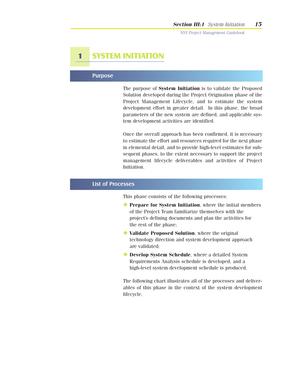## **1 SYSTEM INITIATION**

#### Purpose

The purpose of **System Initiation** is to validate the Proposed Solution developed during the Project Origination phase of the Project Management Lifecycle, and to estimate the system development effort in greater detail. In this phase, the broad parameters of the new system are defined, and applicable system development activities are identified.

Once the overall approach has been confirmed, it is necessary to estimate the effort and resources required for the next phase in elemental detail, and to provide high-level estimates for subsequent phases, to the extent necessary to support the project management lifecycle deliverables and activities of Project Initiation.

#### List of Processes

This phase consists of the following processes:

- ◆ **Prepare for System Initiation**, where the initial members of the Project Team familiarize themselves with the project's defining documents and plan the activities for the rest of the phase;
- ◆ **Validate Proposed Solution**, where the original technology direction and system development approach are validated;
- ◆ **Develop System Schedule**, where a detailed System Requirements Analysis schedule is developed, and a high-level system development schedule is produced.

The following chart illustrates all of the processes and deliverables of this phase in the context of the system development lifecycle.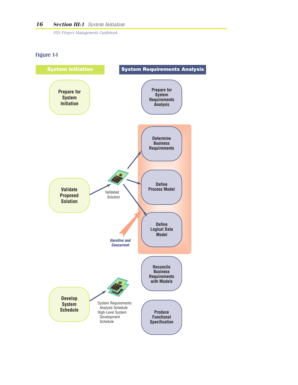#### Figure 1-1

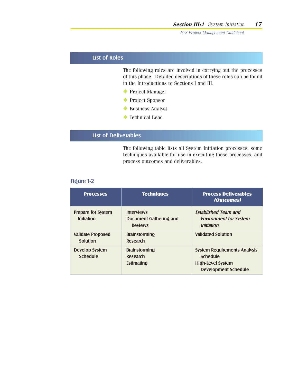#### List of Roles

The following roles are involved in carrying out the processes of this phase. Detailed descriptions of these roles can be found in the Introductions to Sections I and III.

- ◆ Project Manager
- ◆ Project Sponsor
- ◆ Business Analyst
- ◆ Technical Lead

#### List of Deliverables

The following table lists all System Initiation processes, some techniques available for use in executing these processes, and process outcomes and deliverables.

#### Figure 1-2

| <b>Processes</b>                               | <b>Techniques</b>                                             | <b>Process Deliverables</b><br>(Outcomes)                                                                         |
|------------------------------------------------|---------------------------------------------------------------|-------------------------------------------------------------------------------------------------------------------|
| <b>Prepare for System</b><br><b>Initiation</b> | <b>Interviews</b><br>Document Gathering and<br><b>Reviews</b> | <b>Established Team and</b><br><b>Environment for System</b><br><i><b>Initiation</b></i>                          |
| <b>Validate Proposed</b><br>Solution           | <b>Brainstorming</b><br>Research                              | <b>Validated Solution</b>                                                                                         |
| <b>Develop System</b><br><b>Schedule</b>       | <b>Brainstorming</b><br>Research<br>Estimating                | <b>System Requirements Analysis</b><br><b>Schedule</b><br><b>High-Level System</b><br><b>Development Schedule</b> |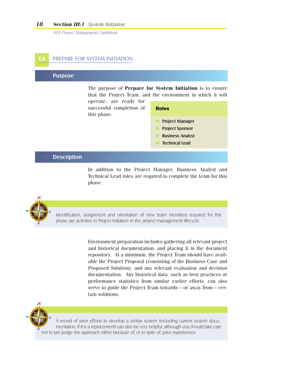#### **PREPARE FOR SYSTEM INITIATION**

#### Purpose

The purpose of **Prepare for System Initiation** is to ensure that the Project Team, and the environment in which it will operate, are ready for

**Roles**

successful completion of this phase.

| <b>Project Manager</b>  |
|-------------------------|
| <b>Project Sponsor</b>  |
| <b>Business Analyst</b> |
| <b>Technical Lead</b>   |

#### **Description**

In addition to the Project Manager, Business Analyst and Technical Lead roles are required to complete the team for this phase.



Identification, assignment and orientation of new team members required for this phase are activities in Project Initiation in the project management lifecycle.

> Environment preparation includes gathering all relevant project and historical documentation, and placing it in the document repository. At a minimum, the Project Team should have available the Project Proposal (consisting of the Business Case and Proposed Solution), and any relevant evaluation and decision documentation. Any historical data, such as best practices or performance statistics from similar earlier efforts, can also serve to guide the Project Team towards – or away from – certain solutions.



A record of prior efforts to develop a similar system (including current system documentation, if it is a replacement) can also be very helpful, although you should take care not to pre-judge the approach either because of, or in spite of, prior experiences.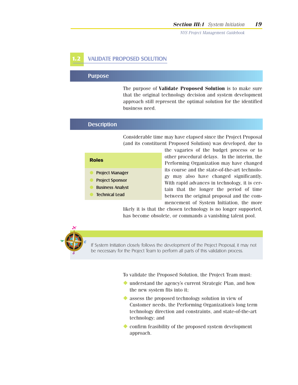#### **VALIDATE PROPOSED SOLUTION**

#### Purpose

The purpose of **Validate Proposed Solution** is to make sure that the original technology decision and system development approach still represent the optimal solution for the identified business need.

#### **Description**

Considerable time may have elapsed since the Project Proposal (and its constituent Proposed Solution) was developed, due to

| <b>Roles</b>            |  |  |
|-------------------------|--|--|
| <b>Project Manager</b>  |  |  |
| <b>Project Sponsor</b>  |  |  |
| <b>Business Analyst</b> |  |  |
| <b>Technical Lead</b>   |  |  |

the vagaries of the budget process or to other procedural delays. In the interim, the Performing Organization may have changed its course and the state-of-the-art technology may also have changed significantly. With rapid advances in technology, it is certain that the longer the period of time between the original proposal and the commencement of System Initiation, the more

likely it is that the chosen technology is no longer supported, has become obsolete, or commands a vanishing talent pool.



If System Initiation closely follows the development of the Project Proposal, it may not be necessary for the Project Team to perform all parts of this validation process.

To validate the Proposed Solution, the Project Team must:

- ◆ understand the agency's current Strategic Plan, and how the new system fits into it;
- ◆ assess the proposed technology solution in view of Customer needs, the Performing Organization's long term technology direction and constraints, and state-of-the-art technology; and
- ◆ confirm feasibility of the proposed system development approach.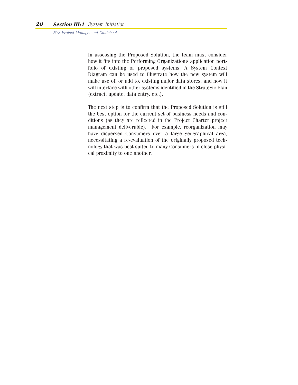In assessing the Proposed Solution, the team must consider how it fits into the Performing Organization's application portfolio of existing or proposed systems. A System Context Diagram can be used to illustrate how the new system will make use of, or add to, existing major data stores, and how it will interface with other systems identified in the Strategic Plan (extract, update, data entry, etc.).

The next step is to confirm that the Proposed Solution is still the best option for the current set of business needs and conditions (as they are reflected in the Project Charter project management deliverable). For example, reorganization may have dispersed Consumers over a large geographical area, necessitating a re-evaluation of the originally proposed technology that was best suited to many Consumers in close physical proximity to one another.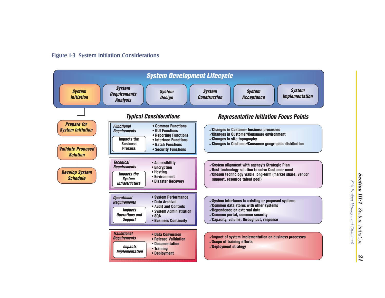

*21*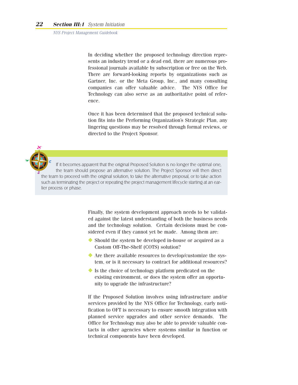In deciding whether the proposed technology direction represents an industry trend or a dead end, there are numerous professional journals available by subscription or free on the Web. There are forward-looking reports by organizations such as Gartner, Inc. or the Meta Group, Inc., and many consulting companies can offer valuable advice. The NYS Office for Technology can also serve as an authoritative point of reference.

Once it has been determined that the proposed technical solution fits into the Performing Organization's Strategic Plan, any lingering questions may be resolved through formal reviews, or directed to the Project Sponsor.

If it becomes apparent that the original Proposed Solution is no longer the optimal one, the team should propose an alternative solution. The Project Sponsor will then direct the team to proceed with the original solution, to take the alternative proposal, or to take action such as terminating the project or repeating the project management lifecycle starting at an earlier process or phase.

> Finally, the system development approach needs to be validated against the latest understanding of both the business needs and the technology solution. Certain decisions must be considered even if they cannot yet be made. Among them are:

- ◆ Should the system be developed in-house or acquired as a Custom Off-The-Shelf (COTS) solution?
- ◆ Are there available resources to develop/customize the system, or is it necessary to contract for additional resources?
- ◆ Is the choice of technology platform predicated on the existing environment, or does the system offer an opportunity to upgrade the infrastructure?

If the Proposed Solution involves using infrastructure and/or services provided by the NYS Office for Technology, early notification to OFT is necessary to ensure smooth integration with planned service upgrades and other service demands. The Office for Technology may also be able to provide valuable contacts in other agencies where systems similar in function or technical components have been developed.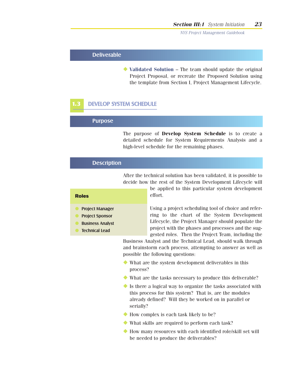#### Deliverable

◆ **Validated Solution** – The team should update the original Project Proposal, or recreate the Proposed Solution using the template from Section I, Project Management Lifecycle.

#### **1.3** DEVELOP SYSTEM SCHEDULE

#### Purpose

The purpose of **Develop System Schedule** is to create a detailed schedule for System Requirements Analysis and a high-level schedule for the remaining phases.

#### **Description**

After the technical solution has been validated, it is possible to decide how the rest of the System Development Lifecycle will

#### **Roles**

- Project Manager **Project Sponsor**
- 
- **Business Analyst**
- **Technical Lead**

be applied to this particular system development

effort. Using a project scheduling tool of choice and referring to the chart of the System Development

Lifecycle, the Project Manager should populate the project with the phases and processes and the suggested roles. Then the Project Team, including the

Business Analyst and the Technical Lead, should walk through and brainstorm each process, attempting to answer as well as possible the following questions:

- ◆ What are the system development deliverables in this process?
- ◆ What are the tasks necessary to produce this deliverable?
- ◆ Is there a logical way to organize the tasks associated with this process for this system? That is, are the modules already defined? Will they be worked on in parallel or serially?
- ◆ How complex is each task likely to be?
- ◆ What skills are required to perform each task?
- ◆ How many resources with each identified role/skill set will be needed to produce the deliverables?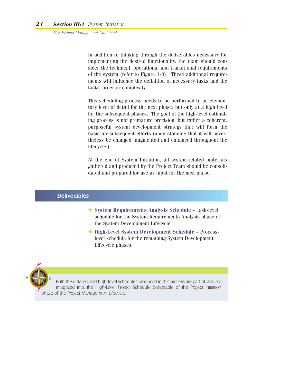In addition to thinking through the deliverables necessary for implementing the desired functionality, the team should consider the technical, operational and transitional requirements of the system (refer to Figure 1-3). These additional requirements will influence the definition of necessary tasks and the tasks' order or complexity.

This scheduling process needs to be performed to an elementary level of detail for the next phase, but only at a high level for the subsequent phases. The goal of the high-level estimating process is not premature precision, but rather a coherent, purposeful system development strategy that will form the basis for subsequent efforts (understanding that it will nevertheless be changed, augmented and enhanced throughout the lifecycle.)

At the end of System Initiation, all system-related materials gathered and produced by the Project Team should be consolidated and prepared for use as input for the next phase.

#### **Deliverables**

- ◆ **System Requirements Analysis Schedule** Task-level schedule for the System Requirements Analysis phase of the System Development Lifecycle.
- ◆ **High-Level System Development Schedule** Processlevel schedule for the remaining System Development Lifecycle phases.



Both the detailed and high-level schedules produced in this process are part of, and are integrated into, the High-Level Project Schedule deliverable of the Project Initiation phase of the Project Management Lifecycle.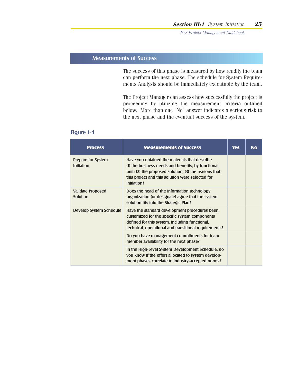#### Measurements of Success

The success of this phase is measured by how readily the team can perform the next phase. The schedule for System Requirements Analysis should be immediately executable by the team.

The Project Manager can assess how successfully the project is proceeding by utilizing the measurement criteria outlined below. More than one "No" answer indicates a serious risk to the next phase and the eventual success of the system.

#### Figure 1-4

| <b>Process</b>                                 | <b>Measurements of Success</b>                                                                                                                                                                                                      | <b>Yes</b> | <b>No</b> |
|------------------------------------------------|-------------------------------------------------------------------------------------------------------------------------------------------------------------------------------------------------------------------------------------|------------|-----------|
| <b>Prepare for System</b><br><b>Initiation</b> | Have you obtained the materials that describe<br>(1) the business needs and benefits, by functional<br>unit; $(2)$ the proposed solution; $(3)$ the reasons that<br>this project and this solution were selected for<br>initiation? |            |           |
| <b>Validate Proposed</b><br><b>Solution</b>    | Does the head of the information technology<br>organization (or designate) agree that the system<br>solution fits into the Strategic Plan?                                                                                          |            |           |
| <b>Develop System Schedule</b>                 | Have the standard development procedures been<br>customized for the specific system components<br>defined for this system, including functional,<br>technical, operational and transitional requirements?                           |            |           |
|                                                | Do you have management commitments for team<br>member availability for the next phase?                                                                                                                                              |            |           |
|                                                | In the High-Level System Development Schedule, do<br>you know if the effort allocated to system develop-<br>ment phases correlate to industry-accepted norms?                                                                       |            |           |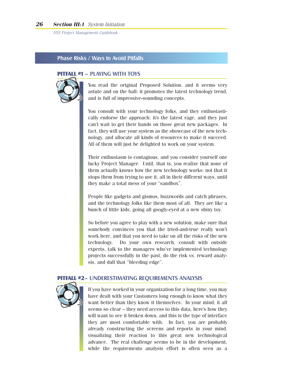#### Phase Risks / Ways to Avoid Pitfalls

#### **PITFALL #1** – PLAYING WITH TOYS



You read the original Proposed Solution, and it seems very astute and on the ball: it promotes the latest technology trend, and is full of impressive-sounding concepts.

You consult with your technology folks, and they enthusiastically endorse the approach: it's the latest rage, and they just can't wait to get their hands on those great new packages. In fact, they will use your system as the showcase of the new technology, and allocate all kinds of resources to make it succeed. All of them will just be delighted to work on your system.

Their enthusiasm is contagious, and you consider yourself one lucky Project Manager. Until, that is, you realize that none of them actually knows how the new technology works; not that it stops them from trying to use it, all in their different ways, until they make a total mess of your "sandbox".

People like gadgets and gismos, buzzwords and catch phrases, and the technology folks like them most of all. They are like a bunch of little kids, going all googly-eyed at a new shiny toy.

So before you agree to play with a new solution, make sure that somebody convinces you that the tried-and-true really won't work here, and that you need to take on all the risks of the new technology. Do your own research, consult with outside experts, talk to the managers who've implemented technology projects successfully in the past, do the risk vs. reward analysis, and dull that "bleeding edge".

#### **PITFALL #2**– UNDERESTIMATING REQUIREMENTS ANALYSIS



If you have worked in your organization for a long time, you may have dealt with your Customers long enough to know what they want better than they know it themselves. In your mind, it all seems so clear – they need access to this data, here's how they will want to see it broken down, and this is the type of interface they are most comfortable with. In fact, you are probably already constructing the screens and reports in your mind, visualizing their reaction to this great new technological advance. The real challenge seems to be in the development, while the requirements analysis effort is often seen as a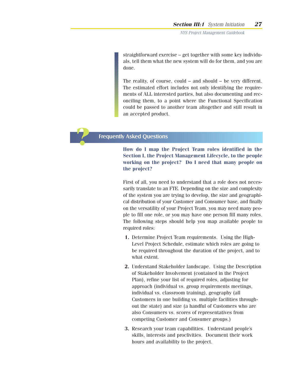straightforward exercise – get together with some key individuals, tell them what the new system will do for them, and you are done.

The reality, of course, could – and should – be very different. The estimated effort includes not only identifying the requirements of ALL interested parties, but also documenting and reconciling them, to a point where the Functional Specification could be passed to another team altogether and still result in an accepted product.

#### Frequently Asked Questions

**?**

**How do I map the Project Team roles identified in the Section I, the Project Management Lifecycle, to the people working on the project? Do I need that many people on the project?**

First of all, you need to understand that a role does not necessarily translate to an FTE. Depending on the size and complexity of the system you are trying to develop, the size and geographical distribution of your Customer and Consumer base, and finally on the versatility of your Project Team, you may need many people to fill one role, or you may have one person fill many roles. The following steps should help you map available people to required roles:

- **1.** Determine Project Team requirements. Using the High-Level Project Schedule, estimate which roles are going to be required throughout the duration of the project, and to what extent.
- **2.** Understand Stakeholder landscape. Using the Description of Stakeholder Involvement (contained in the Project Plan), refine your list of required roles, adjusting for approach (individual vs. group requirements meetings, individual vs. classroom training), geography (all Customers in one building vs. multiple facilities throughout the state) and size (a handful of Customers who are also Consumers vs. scores of representatives from competing Customer and Consumer groups.)
- **3.** Research your team capabilities. Understand people's skills, interests and proclivities. Document their work hours and availability to the project.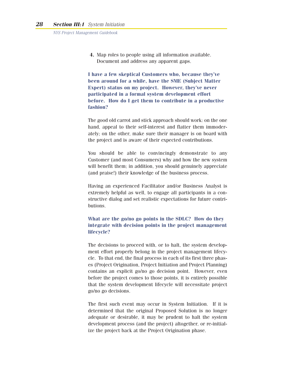**4.** Map roles to people using all information available. Document and address any apparent gaps.

**I have a few skeptical Customers who, because they've been around for a while, have the SME (Subject Matter Expert) status on my project. However, they've never participated in a formal system development effort before. How do I get them to contribute in a productive fashion?**

The good old carrot and stick approach should work: on the one hand, appeal to their self-interest and flatter them immoderately; on the other, make sure their manager is on board with the project and is aware of their expected contributions.

You should be able to convincingly demonstrate to any Customer (and most Consumers) why and how the new system will benefit them; in addition, you should genuinely appreciate (and praise!) their knowledge of the business process.

Having an experienced Facilitator and/or Business Analyst is extremely helpful as well, to engage all participants in a constructive dialog and set realistic expectations for future contributions.

#### **What are the go/no go points in the SDLC? How do they integrate with decision points in the project management lifecycle?**

The decisions to proceed with, or to halt, the system development effort properly belong in the project management lifecycle. To that end, the final process in each of its first three phases (Project Origination, Project Initiation and Project Planning) contains an explicit go/no go decision point. However, even before the project comes to those points, it is entirely possible that the system development lifecycle will necessitate project go/no go decisions.

The first such event may occur in System Initiation. If it is determined that the original Proposed Solution is no longer adequate or desirable, it may be prudent to halt the system development process (and the project) altogether, or re-initialize the project back at the Project Origination phase.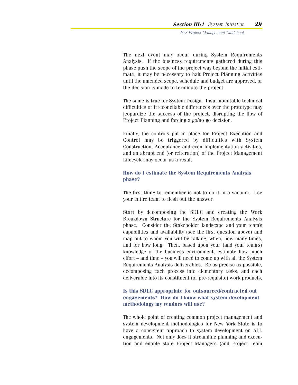The next event may occur during System Requirements Analysis. If the business requirements gathered during this phase push the scope of the project way beyond the initial estimate, it may be necessary to halt Project Planning activities until the amended scope, schedule and budget are approved, or the decision is made to terminate the project.

The same is true for System Design. Insurmountable technical difficulties or irreconcilable differences over the prototype may jeopardize the success of the project, disrupting the flow of Project Planning and forcing a go/no go decision.

Finally, the controls put in place for Project Execution and Control may be triggered by difficulties with System Construction, Acceptance and even Implementation activities, and an abrupt end (or reiteration) of the Project Management Lifecycle may occur as a result.

#### **How do I estimate the System Requirements Analysis phase?**

The first thing to remember is not to do it in a vacuum. Use your entire team to flesh out the answer.

Start by decomposing the SDLC and creating the Work Breakdown Structure for the System Requirements Analysis phase. Consider the Stakeholder landscape and your team's capabilities and availability (see the first question above) and map out to whom you will be talking, when, how many times, and for how long. Then, based upon your (and your team's) knowledge of the business environment, estimate how much effort – and time – you will need to come up with all the System Requirements Analysis deliverables. Be as precise as possible, decomposing each process into elementary tasks, and each deliverable into its constituent (or pre-requisite) work products.

#### **Is this SDLC appropriate for outsourced/contracted out engagements? How do I know what system development methodology my vendors will use?**

The whole point of creating common project management and system development methodologies for New York State is to have a consistent approach to system development on ALL engagements. Not only does it streamline planning and execution and enable state Project Managers (and Project Team